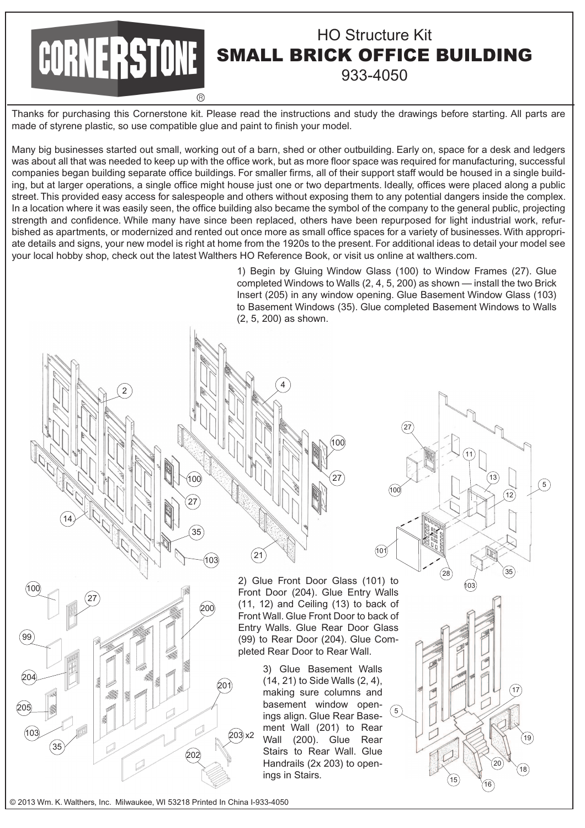## HO Structure Kit SMALL BRICK OFFICE BUILDING 933-4050

Thanks for purchasing this Cornerstone kit. Please read the instructions and study the drawings before starting. All parts are made of styrene plastic, so use compatible glue and paint to finish your model.

Many big businesses started out small, working out of a barn, shed or other outbuilding. Early on, space for a desk and ledgers was about all that was needed to keep up with the office work, but as more floor space was required for manufacturing, successful companies began building separate office buildings. For smaller firms, all of their support staff would be housed in a single building, but at larger operations, a single office might house just one or two departments, Ideally, offices were placed along a public street. This provided easy access for salespeople and others without exposing them to any potential dangers inside the complex. In a location where it was easily seen, the office building also became the symbol of the company to the general public, projecting strength and confidence. While many have since been replaced, others have been repurposed for light industrial work, refurbished as apartments, or modernized and rented out once more as small office spaces for a variety of businesses. With appropriate details and signs, your new model is right at home from the 1920s to the present. For additional ideas to detail your model see your local hobby shop, check out the latest Walthers HO Reference Book, or visit us online at walthers.com.

4

1) Begin by Gluing Window Glass (100) to Window Frames (27). Glue completed Windows to Walls (2, 4, 5, 200) as shown — install the two Brick Insert (205) in any window opening. Glue Basement Window Glass (103) to Basement Windows (35). Glue completed Basement Windows to Walls (2, 5, 200) as shown.

100

101

5

27

28

103

11

13

 $\sqrt{16}$ 

20

35

12

17

18

19

5

2) Glue Front Door Glass (101) to Front Door (204). Glue Entry Walls (11, 12) and Ceiling (13) to back of Front Wall. Glue Front Door to back of Entry Walls. Glue Rear Door Glass (99) to Rear Door (204). Glue Completed Rear Door to Rear Wall.

 $(100)$ 

27

3) Glue Basement Walls (14, 21) to Side Walls (2, 4), making sure columns and basement window openings align. Glue Rear Basement Wall (201) to Rear Wall (200). Glue Rear Stairs to Rear Wall. Glue Handrails (2x 203) to openings in Stairs.

© 2013 Wm. K. Walthers, Inc. Milwaukee, WI 53218 Printed In China I-933-4050

100

2

14

27

100

99

 $^{204}$ 

205

103

35

27

35

 $(103)$ 

 $\infty$ 

202

201

203 x2

21